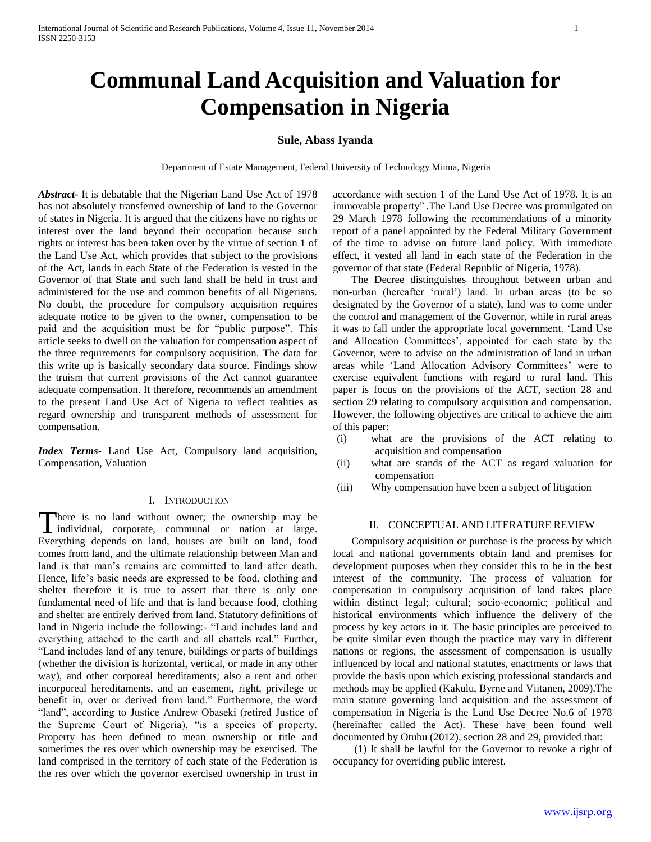# **Communal Land Acquisition and Valuation for Compensation in Nigeria**

# **Sule, Abass Iyanda**

Department of Estate Management, Federal University of Technology Minna, Nigeria

*Abstract***-** It is debatable that the Nigerian Land Use Act of 1978 has not absolutely transferred ownership of land to the Governor of states in Nigeria. It is argued that the citizens have no rights or interest over the land beyond their occupation because such rights or interest has been taken over by the virtue of section 1 of the Land Use Act, which provides that subject to the provisions of the Act, lands in each State of the Federation is vested in the Governor of that State and such land shall be held in trust and administered for the use and common benefits of all Nigerians. No doubt, the procedure for compulsory acquisition requires adequate notice to be given to the owner, compensation to be paid and the acquisition must be for "public purpose". This article seeks to dwell on the valuation for compensation aspect of the three requirements for compulsory acquisition. The data for this write up is basically secondary data source. Findings show the truism that current provisions of the Act cannot guarantee adequate compensation. It therefore, recommends an amendment to the present Land Use Act of Nigeria to reflect realities as regard ownership and transparent methods of assessment for compensation.

*Index Terms*- Land Use Act, Compulsory land acquisition, Compensation, Valuation

### I. INTRODUCTION

here is no land without owner; the ownership may be There is no land without owner; the ownership may be individual, corporate, communal or nation at large. Everything depends on land, houses are built on land, food comes from land, and the ultimate relationship between Man and land is that man"s remains are committed to land after death. Hence, life's basic needs are expressed to be food, clothing and shelter therefore it is true to assert that there is only one fundamental need of life and that is land because food, clothing and shelter are entirely derived from land. Statutory definitions of land in Nigeria include the following:- "Land includes land and everything attached to the earth and all chattels real." Further, "Land includes land of any tenure, buildings or parts of buildings (whether the division is horizontal, vertical, or made in any other way), and other corporeal hereditaments; also a rent and other incorporeal hereditaments, and an easement, right, privilege or benefit in, over or derived from land." Furthermore, the word "land", according to Justice Andrew Obaseki (retired Justice of the Supreme Court of Nigeria), "is a species of property. Property has been defined to mean ownership or title and sometimes the res over which ownership may be exercised. The land comprised in the territory of each state of the Federation is the res over which the governor exercised ownership in trust in

accordance with section 1 of the Land Use Act of 1978. It is an immovable property" .The Land Use Decree was promulgated on 29 March 1978 following the recommendations of a minority report of a panel appointed by the Federal Military Government of the time to advise on future land policy. With immediate effect, it vested all land in each state of the Federation in the governor of that state (Federal Republic of Nigeria, 1978).

 The Decree distinguishes throughout between urban and non-urban (hereafter "rural") land. In urban areas (to be so designated by the Governor of a state), land was to come under the control and management of the Governor, while in rural areas it was to fall under the appropriate local government. "Land Use and Allocation Committees', appointed for each state by the Governor, were to advise on the administration of land in urban areas while 'Land Allocation Advisory Committees' were to exercise equivalent functions with regard to rural land. This paper is focus on the provisions of the ACT, section 28 and section 29 relating to compulsory acquisition and compensation. However, the following objectives are critical to achieve the aim of this paper:

- (i) what are the provisions of the ACT relating to acquisition and compensation
- (ii) what are stands of the ACT as regard valuation for compensation
- (iii) Why compensation have been a subject of litigation

# II. CONCEPTUAL AND LITERATURE REVIEW

 Compulsory acquisition or purchase is the process by which local and national governments obtain land and premises for development purposes when they consider this to be in the best interest of the community. The process of valuation for compensation in compulsory acquisition of land takes place within distinct legal; cultural; socio-economic; political and historical environments which influence the delivery of the process by key actors in it. The basic principles are perceived to be quite similar even though the practice may vary in different nations or regions, the assessment of compensation is usually influenced by local and national statutes, enactments or laws that provide the basis upon which existing professional standards and methods may be applied (Kakulu, Byrne and Viitanen, 2009).The main statute governing land acquisition and the assessment of compensation in Nigeria is the Land Use Decree No.6 of 1978 (hereinafter called the Act). These have been found well documented by Otubu (2012), section 28 and 29, provided that:

 (1) It shall be lawful for the Governor to revoke a right of occupancy for overriding public interest.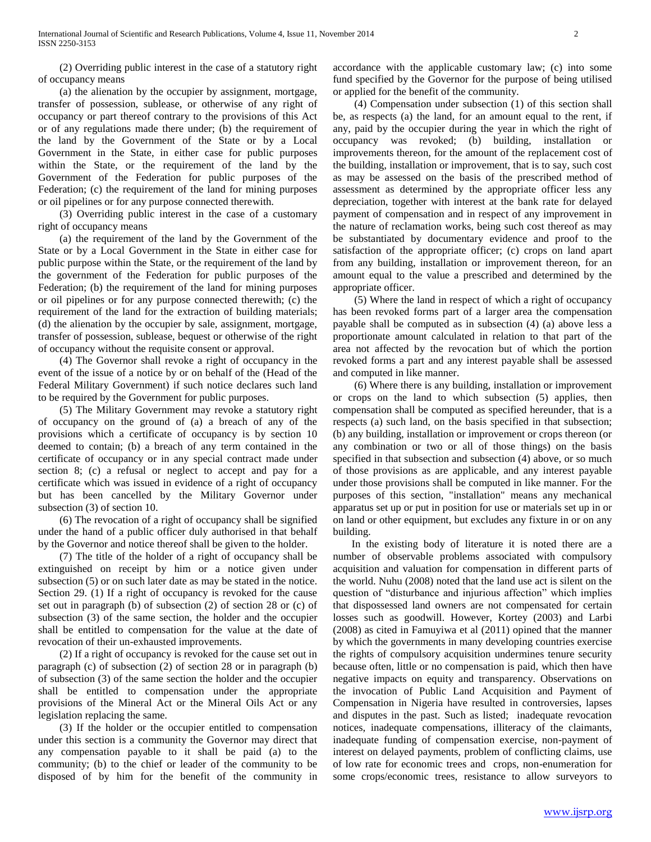(2) Overriding public interest in the case of a statutory right of occupancy means

 (a) the alienation by the occupier by assignment, mortgage, transfer of possession, sublease, or otherwise of any right of occupancy or part thereof contrary to the provisions of this Act or of any regulations made there under; (b) the requirement of the land by the Government of the State or by a Local Government in the State, in either case for public purposes within the State, or the requirement of the land by the Government of the Federation for public purposes of the Federation; (c) the requirement of the land for mining purposes or oil pipelines or for any purpose connected therewith.

 (3) Overriding public interest in the case of a customary right of occupancy means

 (a) the requirement of the land by the Government of the State or by a Local Government in the State in either case for public purpose within the State, or the requirement of the land by the government of the Federation for public purposes of the Federation; (b) the requirement of the land for mining purposes or oil pipelines or for any purpose connected therewith; (c) the requirement of the land for the extraction of building materials; (d) the alienation by the occupier by sale, assignment, mortgage, transfer of possession, sublease, bequest or otherwise of the right of occupancy without the requisite consent or approval.

 (4) The Governor shall revoke a right of occupancy in the event of the issue of a notice by or on behalf of the (Head of the Federal Military Government) if such notice declares such land to be required by the Government for public purposes.

 (5) The Military Government may revoke a statutory right of occupancy on the ground of (a) a breach of any of the provisions which a certificate of occupancy is by section 10 deemed to contain; (b) a breach of any term contained in the certificate of occupancy or in any special contract made under section 8; (c) a refusal or neglect to accept and pay for a certificate which was issued in evidence of a right of occupancy but has been cancelled by the Military Governor under subsection (3) of section 10.

 (6) The revocation of a right of occupancy shall be signified under the hand of a public officer duly authorised in that behalf by the Governor and notice thereof shall be given to the holder.

 (7) The title of the holder of a right of occupancy shall be extinguished on receipt by him or a notice given under subsection (5) or on such later date as may be stated in the notice. Section 29. (1) If a right of occupancy is revoked for the cause set out in paragraph (b) of subsection (2) of section 28 or (c) of subsection (3) of the same section, the holder and the occupier shall be entitled to compensation for the value at the date of revocation of their un-exhausted improvements.

 (2) If a right of occupancy is revoked for the cause set out in paragraph (c) of subsection (2) of section 28 or in paragraph (b) of subsection (3) of the same section the holder and the occupier shall be entitled to compensation under the appropriate provisions of the Mineral Act or the Mineral Oils Act or any legislation replacing the same.

 (3) If the holder or the occupier entitled to compensation under this section is a community the Governor may direct that any compensation payable to it shall be paid (a) to the community; (b) to the chief or leader of the community to be disposed of by him for the benefit of the community in

accordance with the applicable customary law; (c) into some fund specified by the Governor for the purpose of being utilised or applied for the benefit of the community.

 (4) Compensation under subsection (1) of this section shall be, as respects (a) the land, for an amount equal to the rent, if any, paid by the occupier during the year in which the right of occupancy was revoked; (b) building, installation or improvements thereon, for the amount of the replacement cost of the building, installation or improvement, that is to say, such cost as may be assessed on the basis of the prescribed method of assessment as determined by the appropriate officer less any depreciation, together with interest at the bank rate for delayed payment of compensation and in respect of any improvement in the nature of reclamation works, being such cost thereof as may be substantiated by documentary evidence and proof to the satisfaction of the appropriate officer; (c) crops on land apart from any building, installation or improvement thereon, for an amount equal to the value a prescribed and determined by the appropriate officer.

 (5) Where the land in respect of which a right of occupancy has been revoked forms part of a larger area the compensation payable shall be computed as in subsection (4) (a) above less a proportionate amount calculated in relation to that part of the area not affected by the revocation but of which the portion revoked forms a part and any interest payable shall be assessed and computed in like manner.

 (6) Where there is any building, installation or improvement or crops on the land to which subsection (5) applies, then compensation shall be computed as specified hereunder, that is a respects (a) such land, on the basis specified in that subsection; (b) any building, installation or improvement or crops thereon (or any combination or two or all of those things) on the basis specified in that subsection and subsection (4) above, or so much of those provisions as are applicable, and any interest payable under those provisions shall be computed in like manner. For the purposes of this section, "installation" means any mechanical apparatus set up or put in position for use or materials set up in or on land or other equipment, but excludes any fixture in or on any building.

 In the existing body of literature it is noted there are a number of observable problems associated with compulsory acquisition and valuation for compensation in different parts of the world. Nuhu (2008) noted that the land use act is silent on the question of "disturbance and injurious affection" which implies that dispossessed land owners are not compensated for certain losses such as goodwill. However, Kortey (2003) and Larbi (2008) as cited in Famuyiwa et al (2011) opined that the manner by which the governments in many developing countries exercise the rights of compulsory acquisition undermines tenure security because often, little or no compensation is paid, which then have negative impacts on equity and transparency. Observations on the invocation of Public Land Acquisition and Payment of Compensation in Nigeria have resulted in controversies, lapses and disputes in the past. Such as listed; inadequate revocation notices, inadequate compensations, illiteracy of the claimants, inadequate funding of compensation exercise, non-payment of interest on delayed payments, problem of conflicting claims, use of low rate for economic trees and crops, non-enumeration for some crops/economic trees, resistance to allow surveyors to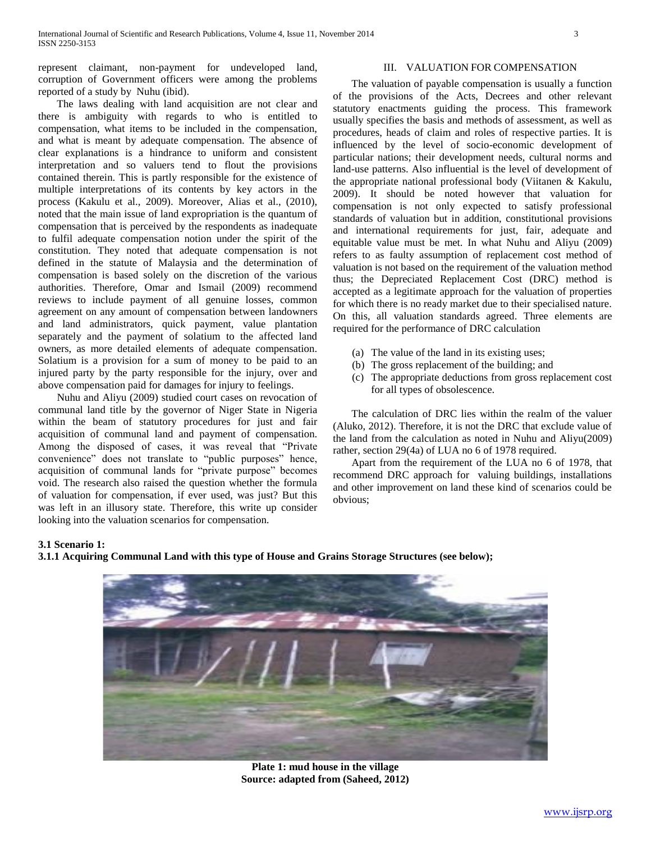represent claimant, non-payment for undeveloped land, corruption of Government officers were among the problems reported of a study by Nuhu (ibid).

 The laws dealing with land acquisition are not clear and there is ambiguity with regards to who is entitled to compensation, what items to be included in the compensation, and what is meant by adequate compensation. The absence of clear explanations is a hindrance to uniform and consistent interpretation and so valuers tend to flout the provisions contained therein. This is partly responsible for the existence of multiple interpretations of its contents by key actors in the process (Kakulu et al., 2009). Moreover, Alias et al., (2010), noted that the main issue of land expropriation is the quantum of compensation that is perceived by the respondents as inadequate to fulfil adequate compensation notion under the spirit of the constitution. They noted that adequate compensation is not defined in the statute of Malaysia and the determination of compensation is based solely on the discretion of the various authorities. Therefore, Omar and Ismail (2009) recommend reviews to include payment of all genuine losses, common agreement on any amount of compensation between landowners and land administrators, quick payment, value plantation separately and the payment of solatium to the affected land owners, as more detailed elements of adequate compensation. Solatium is a provision for a sum of money to be paid to an injured party by the party responsible for the injury, over and above compensation paid for damages for injury to feelings.

 Nuhu and Aliyu (2009) studied court cases on revocation of communal land title by the governor of Niger State in Nigeria within the beam of statutory procedures for just and fair acquisition of communal land and payment of compensation. Among the disposed of cases, it was reveal that "Private convenience" does not translate to "public purposes" hence, acquisition of communal lands for "private purpose" becomes void. The research also raised the question whether the formula of valuation for compensation, if ever used, was just? But this was left in an illusory state. Therefore, this write up consider looking into the valuation scenarios for compensation.

# III. VALUATION FOR COMPENSATION

 The valuation of payable compensation is usually a function of the provisions of the Acts, Decrees and other relevant statutory enactments guiding the process. This framework usually specifies the basis and methods of assessment, as well as procedures, heads of claim and roles of respective parties. It is influenced by the level of socio-economic development of particular nations; their development needs, cultural norms and land-use patterns. Also influential is the level of development of the appropriate national professional body (Viitanen & Kakulu, 2009). It should be noted however that valuation for compensation is not only expected to satisfy professional standards of valuation but in addition, constitutional provisions and international requirements for just, fair, adequate and equitable value must be met. In what Nuhu and Aliyu (2009) refers to as faulty assumption of replacement cost method of valuation is not based on the requirement of the valuation method thus; the Depreciated Replacement Cost (DRC) method is accepted as a legitimate approach for the valuation of properties for which there is no ready market due to their specialised nature. On this, all valuation standards agreed. Three elements are required for the performance of DRC calculation

- (a) The value of the land in its existing uses;
- (b) The gross replacement of the building; and
- (c) The appropriate deductions from gross replacement cost for all types of obsolescence.

 The calculation of DRC lies within the realm of the valuer (Aluko, 2012). Therefore, it is not the DRC that exclude value of the land from the calculation as noted in Nuhu and Aliyu(2009) rather, section 29(4a) of LUA no 6 of 1978 required.

 Apart from the requirement of the LUA no 6 of 1978, that recommend DRC approach for valuing buildings, installations and other improvement on land these kind of scenarios could be obvious;

## **3.1 Scenario 1:**

**3.1.1 Acquiring Communal Land with this type of House and Grains Storage Structures (see below);**



**Plate 1: mud house in the village Source: adapted from (Saheed, 2012)**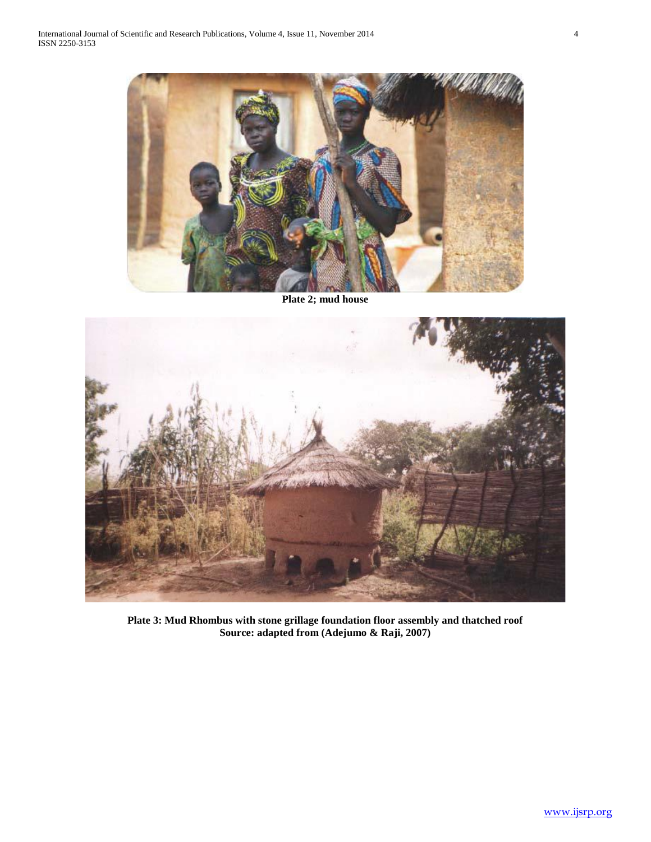

**Plate 2; mud house**



**Plate 3: Mud Rhombus with stone grillage foundation floor assembly and thatched roof Source: adapted from (Adejumo & Raji, 2007)**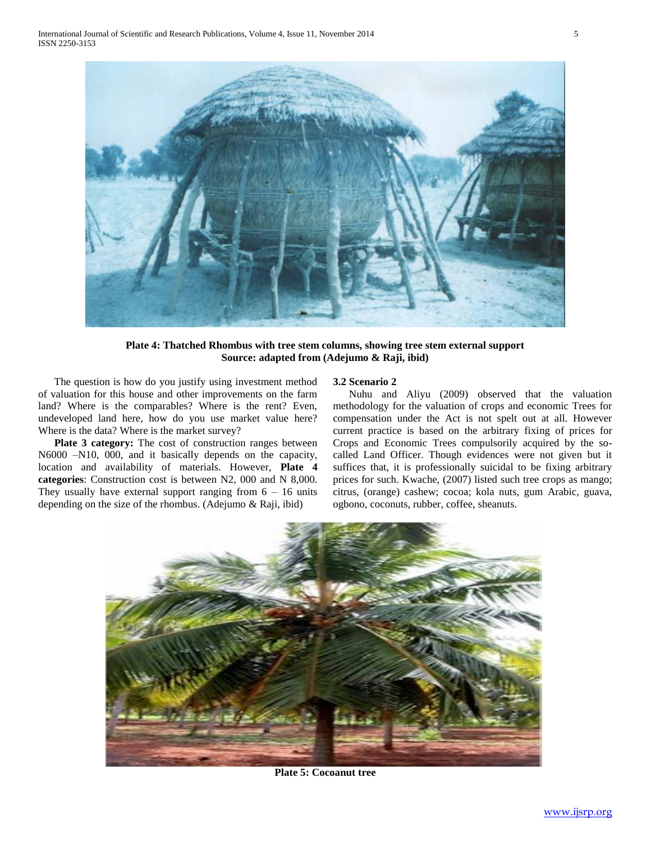

**Plate 4: Thatched Rhombus with tree stem columns, showing tree stem external support Source: adapted from (Adejumo & Raji, ibid)**

 The question is how do you justify using investment method of valuation for this house and other improvements on the farm land? Where is the comparables? Where is the rent? Even, undeveloped land here, how do you use market value here? Where is the data? Where is the market survey?

 **Plate 3 category:** The cost of construction ranges between N6000 –N10, 000, and it basically depends on the capacity, location and availability of materials. However, **Plate 4 categories**: Construction cost is between N2, 000 and N 8,000. They usually have external support ranging from  $6 - 16$  units depending on the size of the rhombus. (Adejumo & Raji, ibid)

# **3.2 Scenario 2**

 Nuhu and Aliyu (2009) observed that the valuation methodology for the valuation of crops and economic Trees for compensation under the Act is not spelt out at all. However current practice is based on the arbitrary fixing of prices for Crops and Economic Trees compulsorily acquired by the socalled Land Officer. Though evidences were not given but it suffices that, it is professionally suicidal to be fixing arbitrary prices for such. Kwache, (2007) listed such tree crops as mango; citrus, (orange) cashew; cocoa; kola nuts, gum Arabic, guava, ogbono, coconuts, rubber, coffee, sheanuts.



**Plate 5: Cocoanut tree**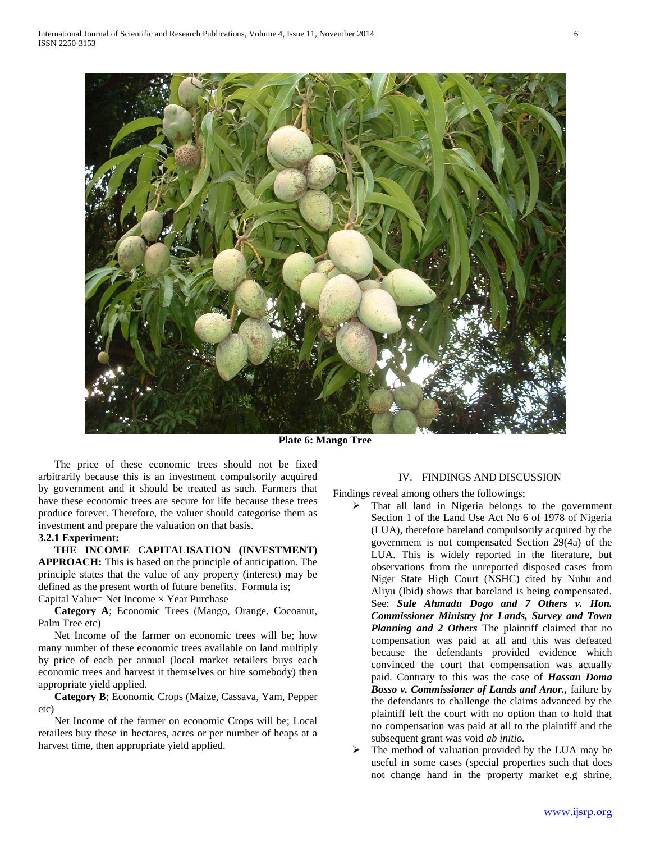

**Plate 6: Mango Tree**

 The price of these economic trees should not be fixed arbitrarily because this is an investment compulsorily acquired by government and it should be treated as such. Farmers that have these economic trees are secure for life because these trees produce forever. Therefore, the valuer should categorise them as investment and prepare the valuation on that basis.

# **3.2.1 Experiment:**

 **THE INCOME CAPITALISATION (INVESTMENT) APPROACH:** This is based on the principle of anticipation. The principle states that the value of any property (interest) may be defined as the present worth of future benefits. Formula is; Capital Value= Net Income × Year Purchase

 **Category A**; Economic Trees (Mango, Orange, Cocoanut, Palm Tree etc)

 Net Income of the farmer on economic trees will be; how many number of these economic trees available on land multiply by price of each per annual (local market retailers buys each economic trees and harvest it themselves or hire somebody) then appropriate yield applied.

 **Category B**; Economic Crops (Maize, Cassava, Yam, Pepper etc)

 Net Income of the farmer on economic Crops will be; Local retailers buy these in hectares, acres or per number of heaps at a harvest time, then appropriate yield applied.

## IV. FINDINGS AND DISCUSSION

Findings reveal among others the followings;

- $\triangleright$  That all land in Nigeria belongs to the government Section 1 of the Land Use Act No 6 of 1978 of Nigeria (LUA), therefore bareland compulsorily acquired by the government is not compensated Section 29(4a) of the LUA. This is widely reported in the literature, but observations from the unreported disposed cases from Niger State High Court (NSHC) cited by Nuhu and Aliyu (Ibid) shows that bareland is being compensated. See: *Sule Ahmadu Dogo and 7 Others v. Hon. Commissioner Ministry for Lands, Survey and Town Planning and 2 Others* The plaintiff claimed that no compensation was paid at all and this was defeated because the defendants provided evidence which convinced the court that compensation was actually paid. Contrary to this was the case of *Hassan Doma Bosso v. Commissioner of Lands and Anor.,* failure by the defendants to challenge the claims advanced by the plaintiff left the court with no option than to hold that no compensation was paid at all to the plaintiff and the subsequent grant was void *ab initio.*
- $\triangleright$  The method of valuation provided by the LUA may be useful in some cases (special properties such that does not change hand in the property market e.g shrine,